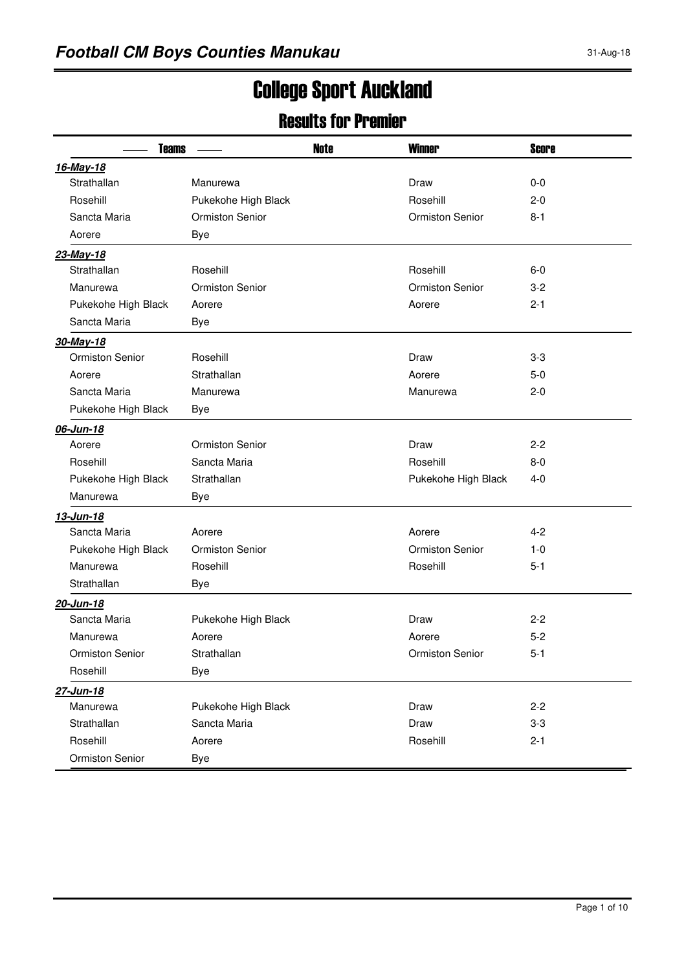# College Sport Auckland

#### Results for Premier

| <b>Teams</b>           |                        | <b>Note</b> | <b>Winner</b>          | <b>Score</b> |
|------------------------|------------------------|-------------|------------------------|--------------|
| 16-May-18              |                        |             |                        |              |
| Strathallan            | Manurewa               |             | Draw                   | $0 - 0$      |
| Rosehill               | Pukekohe High Black    |             | Rosehill               | $2 - 0$      |
| Sancta Maria           | <b>Ormiston Senior</b> |             | <b>Ormiston Senior</b> | $8 - 1$      |
| Aorere                 | Bye                    |             |                        |              |
| 23-May-18              |                        |             |                        |              |
| Strathallan            | Rosehill               |             | Rosehill               | $6-0$        |
| Manurewa               | <b>Ormiston Senior</b> |             | <b>Ormiston Senior</b> | $3 - 2$      |
| Pukekohe High Black    | Aorere                 |             | Aorere                 | $2 - 1$      |
| Sancta Maria           | Bye                    |             |                        |              |
| 30-May-18              |                        |             |                        |              |
| <b>Ormiston Senior</b> | Rosehill               |             | Draw                   | $3 - 3$      |
| Aorere                 | Strathallan            |             | Aorere                 | 5-0          |
| Sancta Maria           | Manurewa               |             | Manurewa               | $2 - 0$      |
| Pukekohe High Black    | <b>Bye</b>             |             |                        |              |
| 06-Jun-18              |                        |             |                        |              |
| Aorere                 | <b>Ormiston Senior</b> |             | Draw                   | $2 - 2$      |
| Rosehill               | Sancta Maria           |             | Rosehill               | $8-0$        |
| Pukekohe High Black    | Strathallan            |             | Pukekohe High Black    | 4-0          |
| Manurewa               | <b>Bye</b>             |             |                        |              |
| 13-Jun-18              |                        |             |                        |              |
| Sancta Maria           | Aorere                 |             | Aorere                 | 4-2          |
| Pukekohe High Black    | <b>Ormiston Senior</b> |             | <b>Ormiston Senior</b> | $1 - 0$      |
| Manurewa               | Rosehill               |             | Rosehill               | $5 - 1$      |
| Strathallan            | Bye                    |             |                        |              |
| 20-Jun-18              |                        |             |                        |              |
| Sancta Maria           | Pukekohe High Black    |             | Draw                   | $2 - 2$      |
| Manurewa               | Aorere                 |             | Aorere                 | $5-2$        |
| Ormiston Senior        | Strathallan            |             | Ormiston Senior        | $5-1$        |
| Rosehill               | Bye                    |             |                        |              |
| 27-Jun-18              |                        |             |                        |              |
| Manurewa               | Pukekohe High Black    |             | Draw                   | $2 - 2$      |
| Strathallan            | Sancta Maria           |             | Draw                   | $3-3$        |
| Rosehill               | Aorere                 |             | Rosehill               | $2 - 1$      |
| Ormiston Senior        | <b>Bye</b>             |             |                        |              |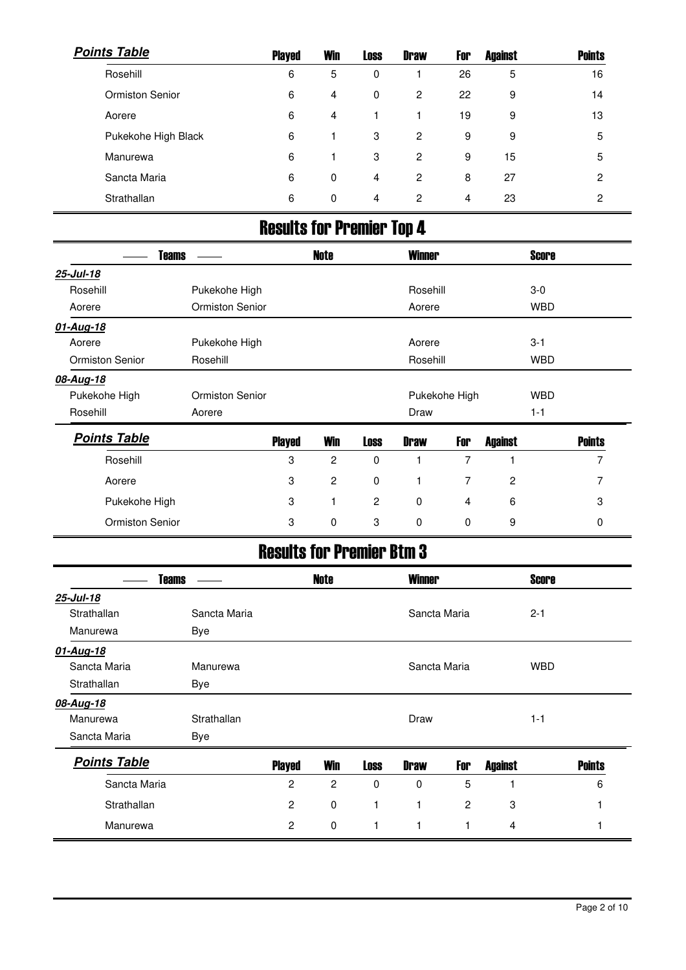| <b>Points Table</b>    | <b>Played</b> | <b>Win</b> | <b>Loss</b> | <b>Draw</b>    | For | <b>Against</b> | <b>Points</b>  |
|------------------------|---------------|------------|-------------|----------------|-----|----------------|----------------|
| Rosehill               | 6             | 5          | 0           |                | 26  | 5              | 16             |
| <b>Ormiston Senior</b> | 6             | 4          | $\mathbf 0$ | $\overline{2}$ | 22  | 9              | 14             |
| Aorere                 | 6             | 4          |             | 1              | 19  | 9              | 13             |
| Pukekohe High Black    | 6             |            | 3           | 2              | 9   | 9              | 5              |
| Manurewa               | 6             |            | 3           | 2              | 9   | 15             | 5              |
| Sancta Maria           | 6             | 0          | 4           | 2              | 8   | 27             | $\overline{2}$ |
| Strathallan            | 6             | 0          | 4           | 2              | 4   | 23             | 2              |

# Results for Premier Top 4

| <b>Teams</b>           |                 |               | <b>Note</b>    |             | <b>Winner</b> |               |                | <b>Score</b> |               |
|------------------------|-----------------|---------------|----------------|-------------|---------------|---------------|----------------|--------------|---------------|
| 25-Jul-18              |                 |               |                |             |               |               |                |              |               |
| Rosehill               | Pukekohe High   |               |                |             | Rosehill      |               |                | $3-0$        |               |
| Aorere                 | Ormiston Senior |               |                |             | Aorere        |               |                | <b>WBD</b>   |               |
| 01-Aug-18              |                 |               |                |             |               |               |                |              |               |
| Aorere                 | Pukekohe High   |               |                |             | Aorere        |               |                | $3 - 1$      |               |
| <b>Ormiston Senior</b> | Rosehill        |               |                |             | Rosehill      |               |                | <b>WBD</b>   |               |
| 08-Aug-18              |                 |               |                |             |               |               |                |              |               |
| Pukekohe High          | Ormiston Senior |               |                |             |               | Pukekohe High |                | <b>WBD</b>   |               |
| Rosehill               | Aorere          |               |                |             | Draw          |               |                | $1 - 1$      |               |
| <b>Points Table</b>    |                 | <b>Played</b> | <b>Win</b>     | <b>Loss</b> | <b>Draw</b>   | For           | <b>Against</b> |              | <b>Points</b> |
| Rosehill               |                 | 3             | $\overline{c}$ | $\mathbf 0$ |               | 7             | 1              |              | 7             |
| Aorere                 |                 | 3             | $\overline{c}$ | $\mathbf 0$ |               | 7             | $\overline{2}$ |              | 7             |
| Pukekohe High          |                 | 3             |                | 2           | $\mathbf 0$   | 4             | 6              |              | 3             |
| Ormiston Senior        |                 | 3             | 0              | 3           | 0             | 0             | 9              |              | 0             |

## Results for Premier Btm 3

| <b>Teams</b>        |              |                | <b>Note</b>    |             | <b>Winner</b> |     |                | <b>Score</b> |               |
|---------------------|--------------|----------------|----------------|-------------|---------------|-----|----------------|--------------|---------------|
| 25-Jul-18           |              |                |                |             |               |     |                |              |               |
| Strathallan         | Sancta Maria |                |                |             | Sancta Maria  |     |                | $2 - 1$      |               |
| Manurewa            | Bye          |                |                |             |               |     |                |              |               |
| 01-Aug-18           |              |                |                |             |               |     |                |              |               |
| Sancta Maria        | Manurewa     |                |                |             | Sancta Maria  |     |                | <b>WBD</b>   |               |
| Strathallan         | Bye          |                |                |             |               |     |                |              |               |
| 08-Aug-18           |              |                |                |             |               |     |                |              |               |
| Manurewa            | Strathallan  |                |                |             | Draw          |     |                | $1 - 1$      |               |
| Sancta Maria        | Bye          |                |                |             |               |     |                |              |               |
| <b>Points Table</b> |              | <b>Played</b>  | <b>Win</b>     | <b>Loss</b> | <b>Draw</b>   | For | <b>Against</b> |              | <b>Points</b> |
| Sancta Maria        |              | $\overline{c}$ | $\overline{c}$ | $\Omega$    | $\mathbf 0$   | 5   |                |              | 6             |
| Strathallan         |              | $\overline{c}$ | 0              | 1           | 1             | 2   | 3              |              |               |
| Manurewa            |              | $\overline{2}$ | 0              | 1           | 1             | 1   | 4              |              |               |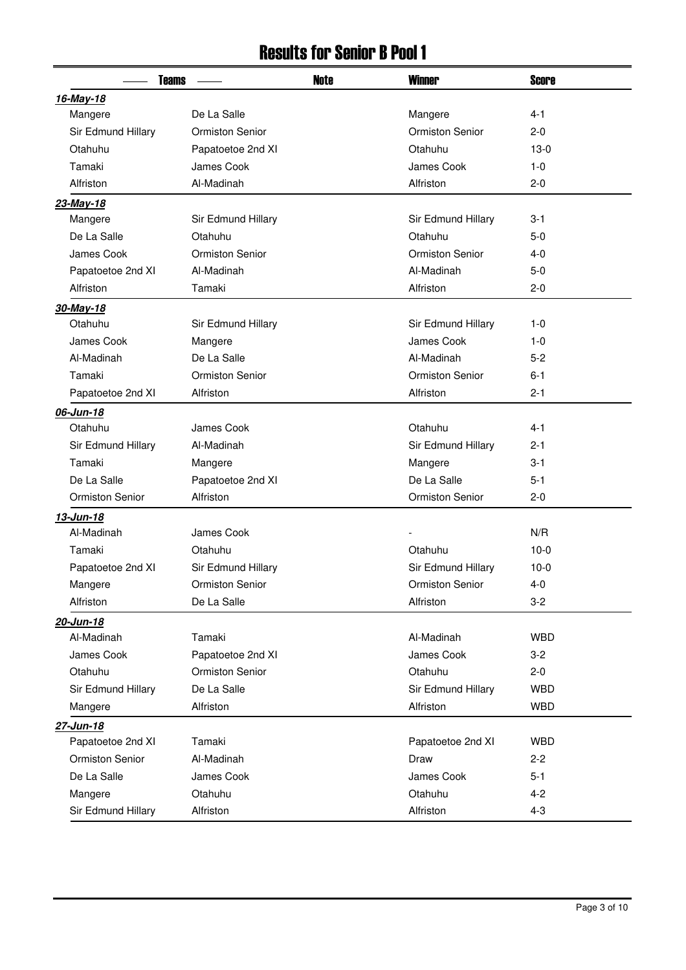### Results for Senior B Pool 1

| <b>Teams</b>           |                        | <b>Note</b> | <b>Winner</b>          | <b>Score</b> |
|------------------------|------------------------|-------------|------------------------|--------------|
| 16-May-18              |                        |             |                        |              |
| Mangere                | De La Salle            |             | Mangere                | $4 - 1$      |
| Sir Edmund Hillary     | <b>Ormiston Senior</b> |             | <b>Ormiston Senior</b> | $2 - 0$      |
| Otahuhu                | Papatoetoe 2nd XI      |             | Otahuhu                | $13-0$       |
| Tamaki                 | James Cook             |             |                        | $1 - 0$      |
| Alfriston              | Al-Madinah             |             | Alfriston              | $2 - 0$      |
| 23-May-18              |                        |             |                        |              |
| Mangere                | Sir Edmund Hillary     |             | Sir Edmund Hillary     | $3 - 1$      |
| De La Salle            | Otahuhu                |             | Otahuhu                | $5-0$        |
| James Cook             | <b>Ormiston Senior</b> |             | <b>Ormiston Senior</b> | $4 - 0$      |
| Papatoetoe 2nd XI      | Al-Madinah             |             | Al-Madinah             | $5-0$        |
| Alfriston              | Tamaki                 |             | Alfriston              | $2 - 0$      |
| 30-May-18              |                        |             |                        |              |
| Otahuhu                | Sir Edmund Hillary     |             | Sir Edmund Hillary     | $1 - 0$      |
| James Cook             | Mangere                |             | James Cook             | $1 - 0$      |
| Al-Madinah             | De La Salle            |             | Al-Madinah             | $5 - 2$      |
| Tamaki                 | <b>Ormiston Senior</b> |             | <b>Ormiston Senior</b> | $6 - 1$      |
| Papatoetoe 2nd XI      | Alfriston              |             | Alfriston              | $2 - 1$      |
| 06-Jun-18              |                        |             |                        |              |
| Otahuhu                | James Cook             |             | Otahuhu                | $4 - 1$      |
| Sir Edmund Hillary     | Al-Madinah             |             | Sir Edmund Hillary     | 2-1          |
| Tamaki                 | Mangere                |             | Mangere                | $3 - 1$      |
| De La Salle            | Papatoetoe 2nd XI      |             | De La Salle            | $5 - 1$      |
| <b>Ormiston Senior</b> | Alfriston              |             | Ormiston Senior        | $2 - 0$      |
| 13-Jun-18              |                        |             |                        |              |
| Al-Madinah             | James Cook             |             |                        | N/R          |
| Tamaki                 | Otahuhu                |             | Otahuhu                | $10-0$       |
| Papatoetoe 2nd XI      | Sir Edmund Hillary     |             | Sir Edmund Hillary     | $10-0$       |
| Mangere                | Ormiston Senior        |             | Ormiston Senior        | $4 - 0$      |
| Alfriston              | De La Salle            |             | Alfriston              | $3-2$        |
| 20-Jun-18              |                        |             |                        |              |
| Al-Madinah             | Tamaki                 |             | Al-Madinah             | <b>WBD</b>   |
| James Cook             | Papatoetoe 2nd XI      |             | James Cook             | $3-2$        |
| Otahuhu                | <b>Ormiston Senior</b> |             | Otahuhu                | $2 - 0$      |
| Sir Edmund Hillary     | De La Salle            |             | Sir Edmund Hillary     | <b>WBD</b>   |
| Mangere                | Alfriston              |             | Alfriston              | <b>WBD</b>   |
| 27-Jun-18              |                        |             |                        |              |
| Papatoetoe 2nd XI      | Tamaki                 |             | Papatoetoe 2nd XI      | <b>WBD</b>   |
| Ormiston Senior        | Al-Madinah             |             | Draw                   | $2 - 2$      |
| De La Salle            | James Cook             |             | James Cook             | $5 - 1$      |
| Mangere                | Otahuhu                |             | Otahuhu                | $4 - 2$      |
| Sir Edmund Hillary     | Alfriston              |             | Alfriston              | $4 - 3$      |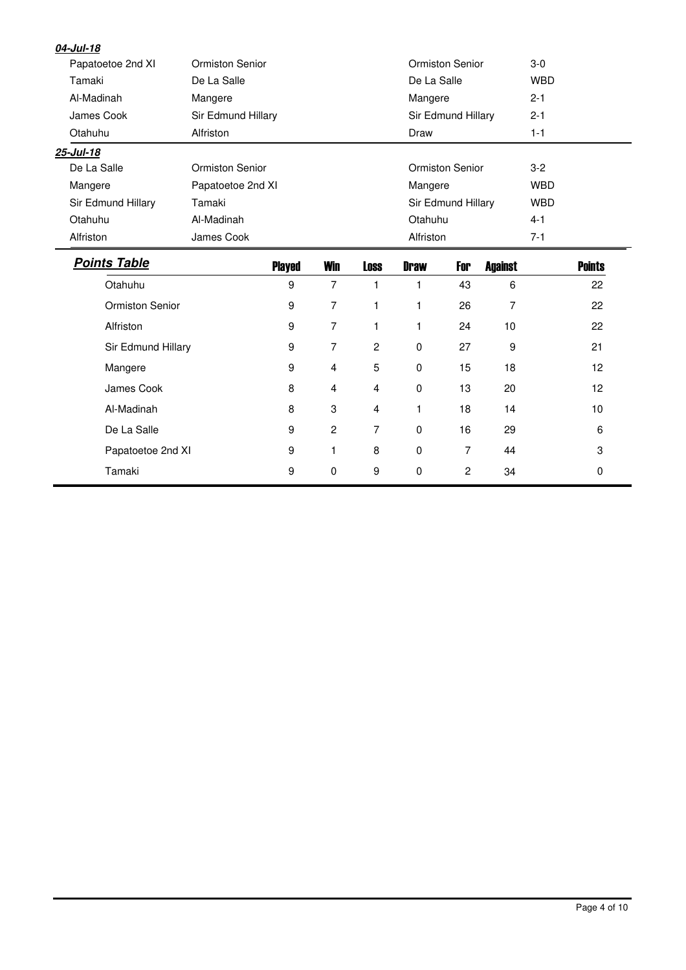| 04-Jul-18           |                        |               |                |                |             |                    |                |            |               |
|---------------------|------------------------|---------------|----------------|----------------|-------------|--------------------|----------------|------------|---------------|
| Papatoetoe 2nd XI   | <b>Ormiston Senior</b> |               |                |                |             | Ormiston Senior    |                | $3-0$      |               |
| Tamaki              | De La Salle            |               |                |                | De La Salle |                    |                | <b>WBD</b> |               |
| Al-Madinah          | Mangere                |               |                |                | Mangere     |                    |                | $2 - 1$    |               |
| James Cook          | Sir Edmund Hillary     |               |                |                |             | Sir Edmund Hillary |                | $2 - 1$    |               |
| Otahuhu             | Alfriston              |               |                |                | Draw        |                    |                | $1 - 1$    |               |
| 25-Jul-18           |                        |               |                |                |             |                    |                |            |               |
| De La Salle         | Ormiston Senior        |               |                |                |             | Ormiston Senior    |                | $3-2$      |               |
| Mangere             | Papatoetoe 2nd XI      |               |                |                | Mangere     |                    |                | <b>WBD</b> |               |
| Sir Edmund Hillary  | Tamaki                 |               |                |                |             | Sir Edmund Hillary |                | <b>WBD</b> |               |
| Otahuhu             | Al-Madinah             |               |                |                | Otahuhu     |                    |                | $4 - 1$    |               |
| Alfriston           | James Cook             |               |                |                | Alfriston   |                    |                | $7 - 1$    |               |
| <b>Points Table</b> |                        | <b>Played</b> | <b>Win</b>     | <b>Loss</b>    | <b>Draw</b> | For                | <b>Against</b> |            | <b>Points</b> |
| Otahuhu             |                        | 9             | $\overline{7}$ | $\mathbf{1}$   | 1           | 43                 | 6              |            | 22            |
| Ormiston Senior     |                        | 9             | 7              | 1              | 1           | 26                 | 7              |            | 22            |
| Alfriston           |                        | 9             | $\overline{7}$ | $\mathbf{1}$   | 1           | 24                 | 10             |            | 22            |
| Sir Edmund Hillary  |                        | 9             | 7              | $\overline{c}$ | 0           | 27                 | 9              |            | 21            |
| Mangere             |                        | 9             | 4              | 5              | $\mathbf 0$ | 15                 | 18             |            | 12            |
| James Cook          |                        | 8             | 4              | $\overline{4}$ | 0           | 13                 | 20             |            | 12            |
| Al-Madinah          |                        | 8             | 3              | $\overline{4}$ | 1           | 18                 | 14             |            | 10            |
| De La Salle         |                        | 9             | $\overline{c}$ | 7              | $\mathbf 0$ | 16                 | 29             |            | 6             |
| Papatoetoe 2nd XI   |                        | 9             | 1              | 8              | $\mathbf 0$ | $\overline{7}$     | 44             |            | $\sqrt{3}$    |
| Tamaki              |                        | 9             | $\mathbf 0$    | 9              | $\pmb{0}$   | $\overline{c}$     | 34             |            | $\mathbf 0$   |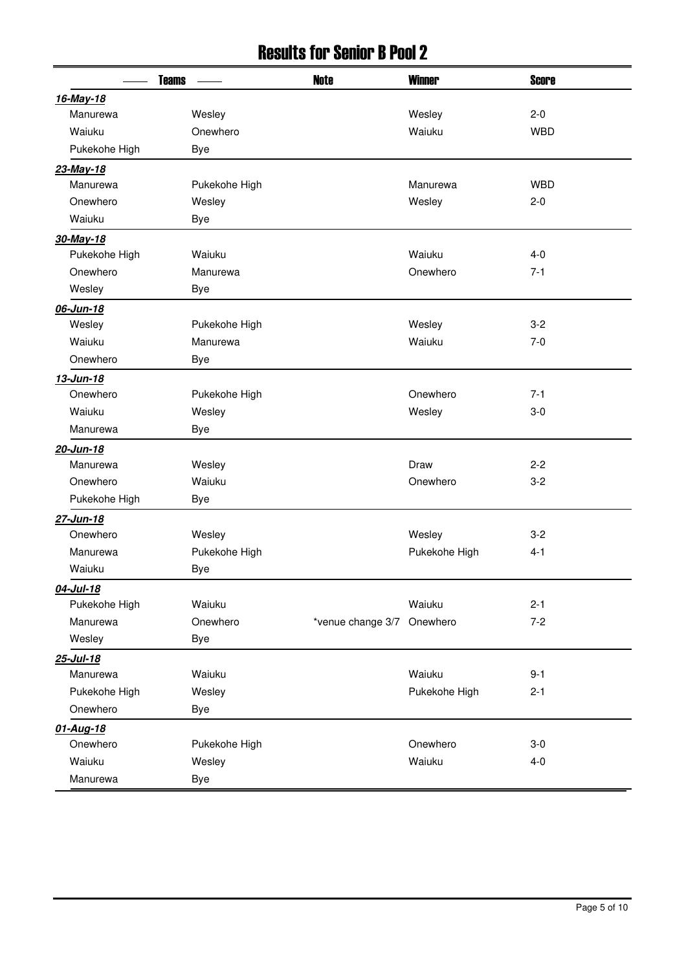### Results for Senior B Pool 2

| <b>Teams</b>  |               | <b>Note</b>       | <b>Winner</b> | <b>Score</b> |
|---------------|---------------|-------------------|---------------|--------------|
| 16-May-18     |               |                   |               |              |
| Manurewa      | Wesley        |                   | Wesley        | $2 - 0$      |
| Waiuku        | Onewhero      |                   | Waiuku        | <b>WBD</b>   |
| Pukekohe High | Bye           |                   |               |              |
| 23-May-18     |               |                   |               |              |
| Manurewa      | Pukekohe High |                   | Manurewa      | <b>WBD</b>   |
| Onewhero      | Wesley        |                   | Wesley        | $2 - 0$      |
| Waiuku        | <b>Bye</b>    |                   |               |              |
| 30-May-18     |               |                   |               |              |
| Pukekohe High | Waiuku        |                   | Waiuku        | $4 - 0$      |
| Onewhero      | Manurewa      |                   | Onewhero      | $7-1$        |
| Wesley        | Bye           |                   |               |              |
| 06-Jun-18     |               |                   |               |              |
| Wesley        | Pukekohe High |                   | Wesley        | $3-2$        |
| Waiuku        | Manurewa      |                   | Waiuku        | $7-0$        |
| Onewhero      | <b>Bye</b>    |                   |               |              |
| 13-Jun-18     |               |                   |               |              |
| Onewhero      | Pukekohe High |                   | Onewhero      | $7-1$        |
| Waiuku        | Wesley        |                   | Wesley        | $3-0$        |
| Manurewa      | <b>Bye</b>    |                   |               |              |
| 20-Jun-18     |               |                   |               |              |
| Manurewa      | Wesley        |                   | Draw          | $2 - 2$      |
| Onewhero      | Waiuku        |                   | Onewhero      | $3-2$        |
| Pukekohe High | <b>Bye</b>    |                   |               |              |
| 27-Jun-18     |               |                   |               |              |
| Onewhero      | Wesley        |                   | Wesley        | $3-2$        |
| Manurewa      | Pukekohe High |                   | Pukekohe High | $4 - 1$      |
| Waiuku        | <b>Bye</b>    |                   |               |              |
| 04-Jul-18     |               |                   |               |              |
| Pukekohe High | Waiuku        |                   | Waiuku        | $2 - 1$      |
| Manurewa      | Onewhero      | *venue change 3/7 | Onewhero      | $7 - 2$      |
| Wesley        | <b>Bye</b>    |                   |               |              |
| 25-Jul-18     |               |                   |               |              |
| Manurewa      | Waiuku        |                   | Waiuku        | $9 - 1$      |
| Pukekohe High | Wesley        |                   | Pukekohe High | $2 - 1$      |
| Onewhero      | Bye           |                   |               |              |
| 01-Aug-18     |               |                   |               |              |
| Onewhero      | Pukekohe High |                   | Onewhero      | $3-0$        |
| Waiuku        | Wesley        |                   | Waiuku        | $4 - 0$      |
| Manurewa      | <b>Bye</b>    |                   |               |              |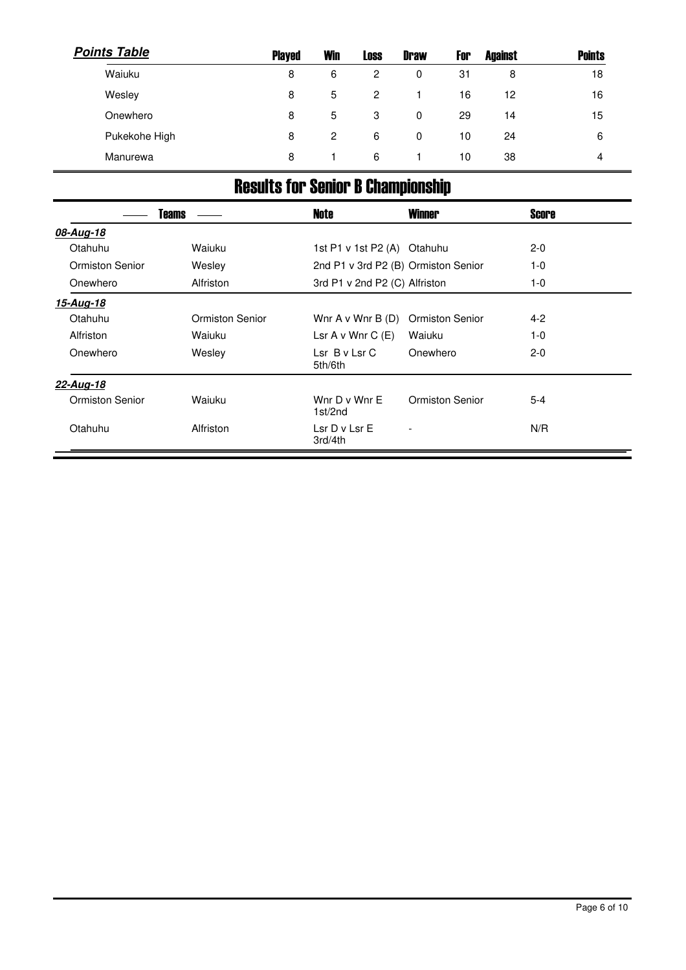| <b>Points Table</b> | <b>Played</b> | <b>Win</b> | <b>Loss</b>    | <b>Draw</b> | For | <b>Against</b> | <b>Points</b> |
|---------------------|---------------|------------|----------------|-------------|-----|----------------|---------------|
| Waiuku              | 8             | 6          | $\overline{2}$ | 0           | 31  | 8              | 18            |
| Wesley              | 8             | 5          | $\overline{2}$ |             | 16  | 12             | 16            |
| Onewhero            | 8             | 5          | 3              | 0           | 29  | 14             | 15            |
| Pukekohe High       | 8             | 2          | 6              | 0           | 10  | 24             | 6             |
| Manurewa            | 8             |            | -6             |             | 10  | 38             | 4             |

# Results for Senior B Championship

|                 | <b>Teams</b>           | <b>Note</b>                   | <b>Winner</b>                       | <b>Score</b> |  |
|-----------------|------------------------|-------------------------------|-------------------------------------|--------------|--|
| 08-Aug-18       |                        |                               |                                     |              |  |
| Otahuhu         | Waiuku                 | 1st P1 v 1st P2 (A) Otahuhu   |                                     | $2 - 0$      |  |
| Ormiston Senior | Wesley                 |                               | 2nd P1 v 3rd P2 (B) Ormiston Senior | $1-0$        |  |
| Onewhero        | Alfriston              | 3rd P1 v 2nd P2 (C) Alfriston |                                     | 1-0          |  |
| 15-Aug-18       |                        |                               |                                     |              |  |
| Otahuhu         | <b>Ormiston Senior</b> | Wnr $A \vee W$ nr $B(D)$      | <b>Ormiston Senior</b>              | $4 - 2$      |  |
| Alfriston       | Waiuku                 | Lsr $A \vee W$ nr $C$ (E)     | Waiuku                              | $1-0$        |  |
| Onewhero        | Wesley                 | $Lsr$ B v $Lsr$ C<br>5th/6th  | Onewhero                            | $2 - 0$      |  |
| 22-Aug-18       |                        |                               |                                     |              |  |
| Ormiston Senior | Waiuku                 | Wnr D v Wnr E<br>1st/2nd      | <b>Ormiston Senior</b>              | 5-4          |  |
| Otahuhu         | Alfriston              | Lsr D v Lsr E<br>3rd/4th      |                                     | N/R          |  |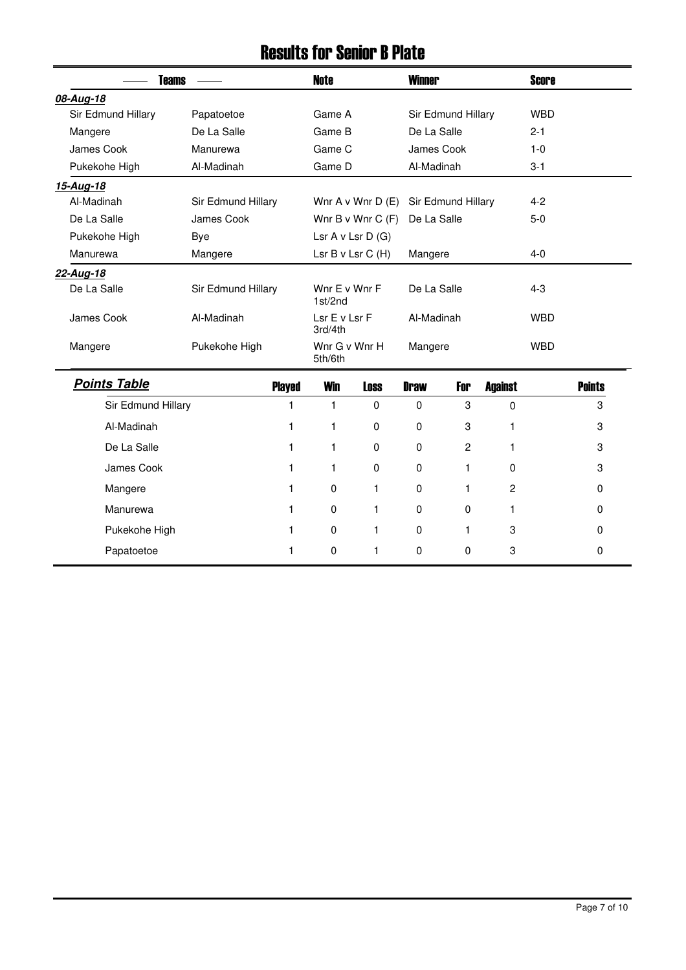### Results for Senior B Plate

| Teams              |                    | Note                             | <b>Winner</b>      | <b>Score</b> |
|--------------------|--------------------|----------------------------------|--------------------|--------------|
| 08-Aug-18          |                    |                                  |                    |              |
| Sir Edmund Hillary | Papatoetoe         | Game A                           | Sir Edmund Hillary | <b>WBD</b>   |
| Mangere            | De La Salle        | Game B                           | De La Salle        | $2 - 1$      |
| James Cook         | Manurewa           | Game C                           | James Cook         | $1 - 0$      |
| Pukekohe High      | Al-Madinah         | Game D                           | Al-Madinah         | $3-1$        |
| 15-Aug-18          |                    |                                  |                    |              |
| Al-Madinah         | Sir Edmund Hillary | Wnr $A \vee W$ nr $D(E)$         | Sir Edmund Hillary | $4 - 2$      |
| De La Salle        | James Cook         | Wnr B v Wnr C $(F)$              | De La Salle        | $5-0$        |
| Pukekohe High      | Bye                | Lsr $A \vee Lsr D$ (G)           |                    |              |
| Manurewa           | Mangere            | Lsr $B \vee Lsr C$ (H)           | Mangere            | $4 - 0$      |
| 22-Aug-18          |                    |                                  |                    |              |
| De La Salle        | Sir Edmund Hillary | Wnr $E \vee W$ nr $F$<br>1st/2nd | De La Salle        | $4 - 3$      |
| James Cook         | Al-Madinah         | Lsr E v Lsr F<br>3rd/4th         | Al-Madinah         | <b>WBD</b>   |
| Mangere            | Pukekohe High      | Wnr G v Wnr H<br>5th/6th         | Mangere            | <b>WBD</b>   |
| Dointe Tahla       | ni                 | 1865-                            |                    |              |

| <b>Points Table</b> | <b>Played</b> | <b>Win</b>  | <b>Loss</b> | <b>Draw</b> | For | <b>Against</b> | <b>Points</b> |
|---------------------|---------------|-------------|-------------|-------------|-----|----------------|---------------|
| Sir Edmund Hillary  |               |             | 0           | $\mathbf 0$ | 3   | 0              | 3             |
| Al-Madinah          |               |             | 0           | 0           | 3   |                | 3             |
| De La Salle         |               |             | 0           | $\mathbf 0$ | 2   |                | 3             |
| James Cook          |               |             | 0           | $\mathbf 0$ |     | 0              | 3             |
| Mangere             |               | $\mathbf 0$ |             | $\Omega$    |     | 2              | 0             |
| Manurewa            |               | 0           |             | $\Omega$    | 0   |                | 0             |
| Pukekohe High       |               | 0           |             | $\Omega$    |     | 3              | 0             |
| Papatoetoe          |               | 0           |             | $\mathbf 0$ | 0   | 3              | 0             |

 $\equiv$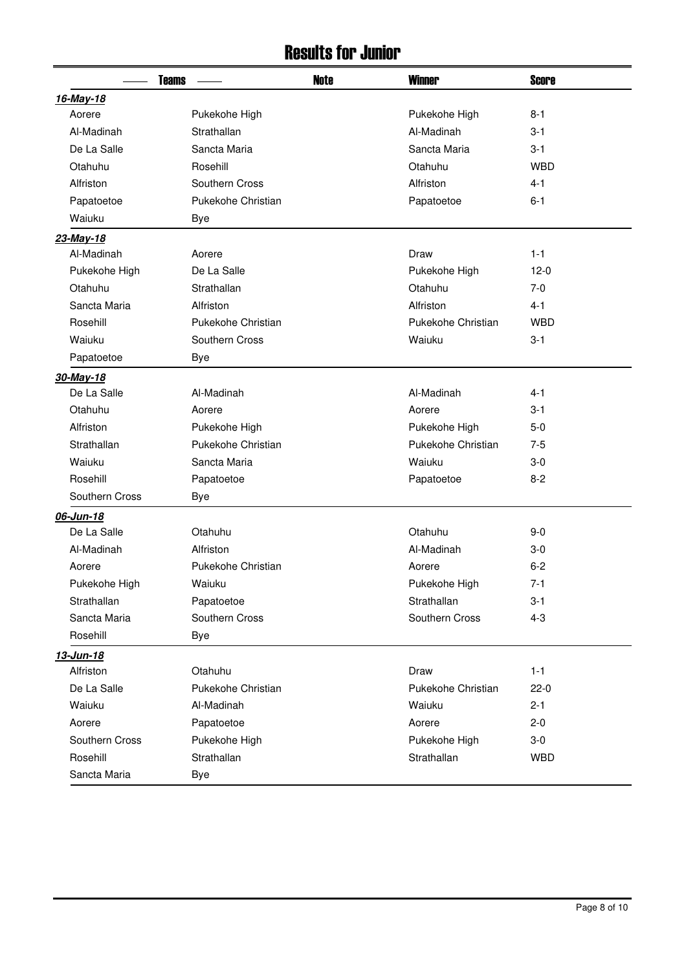### Results for Junior

| <b>Teams</b>   |                    | <b>Note</b> | <b>Winner</b>      | <b>Score</b> |
|----------------|--------------------|-------------|--------------------|--------------|
| 16-May-18      |                    |             |                    |              |
| Aorere         | Pukekohe High      |             | Pukekohe High      | $8 - 1$      |
| Al-Madinah     | Strathallan        |             | Al-Madinah         | $3 - 1$      |
| De La Salle    | Sancta Maria       |             | Sancta Maria       | $3 - 1$      |
| Otahuhu        | Rosehill           |             | Otahuhu            | <b>WBD</b>   |
| Alfriston      | Southern Cross     |             | Alfriston          | $4 - 1$      |
| Papatoetoe     | Pukekohe Christian |             | Papatoetoe         | $6 - 1$      |
| Waiuku         | <b>Bye</b>         |             |                    |              |
| 23-May-18      |                    |             |                    |              |
| Al-Madinah     | Aorere             |             | Draw               | $1 - 1$      |
| Pukekohe High  | De La Salle        |             | Pukekohe High      | $12-0$       |
| Otahuhu        | Strathallan        |             | Otahuhu            | $7-0$        |
| Sancta Maria   | Alfriston          |             | Alfriston          | $4 - 1$      |
| Rosehill       | Pukekohe Christian |             | Pukekohe Christian | <b>WBD</b>   |
| Waiuku         | Southern Cross     |             | Waiuku             | $3 - 1$      |
| Papatoetoe     | Bye                |             |                    |              |
| 30-May-18      |                    |             |                    |              |
| De La Salle    | Al-Madinah         |             | Al-Madinah         | 4-1          |
| Otahuhu        | Aorere             |             | Aorere             | $3 - 1$      |
| Alfriston      | Pukekohe High      |             | Pukekohe High      | $5-0$        |
| Strathallan    | Pukekohe Christian |             | Pukekohe Christian | $7 - 5$      |
| Waiuku         | Sancta Maria       |             | Waiuku             | $3-0$        |
| Rosehill       | Papatoetoe         |             | Papatoetoe         | $8 - 2$      |
| Southern Cross | Bye                |             |                    |              |
| 06-Jun-18      |                    |             |                    |              |
| De La Salle    | Otahuhu            |             | Otahuhu            | $9 - 0$      |
| Al-Madinah     | Alfriston          |             | Al-Madinah         | 3-0          |
| Aorere         | Pukekohe Christian |             | Aorere             | $6 - 2$      |
| Pukekohe High  | Waiuku             |             | Pukekohe High      | $7 - 1$      |
| Strathallan    | Papatoetoe         |             | Strathallan        | $3 - 1$      |
| Sancta Maria   | Southern Cross     |             | Southern Cross     | $4 - 3$      |
| Rosehill       | <b>Bye</b>         |             |                    |              |
| 13-Jun-18      |                    |             |                    |              |
| Alfriston      | Otahuhu            |             | Draw               | $1 - 1$      |
| De La Salle    | Pukekohe Christian |             | Pukekohe Christian | $22-0$       |
| Waiuku         | Al-Madinah         |             | Waiuku             | $2 - 1$      |
| Aorere         | Papatoetoe         |             | Aorere             | $2 - 0$      |
| Southern Cross | Pukekohe High      |             | Pukekohe High      | $3-0$        |
| Rosehill       | Strathallan        |             | Strathallan        | <b>WBD</b>   |
| Sancta Maria   | Bye                |             |                    |              |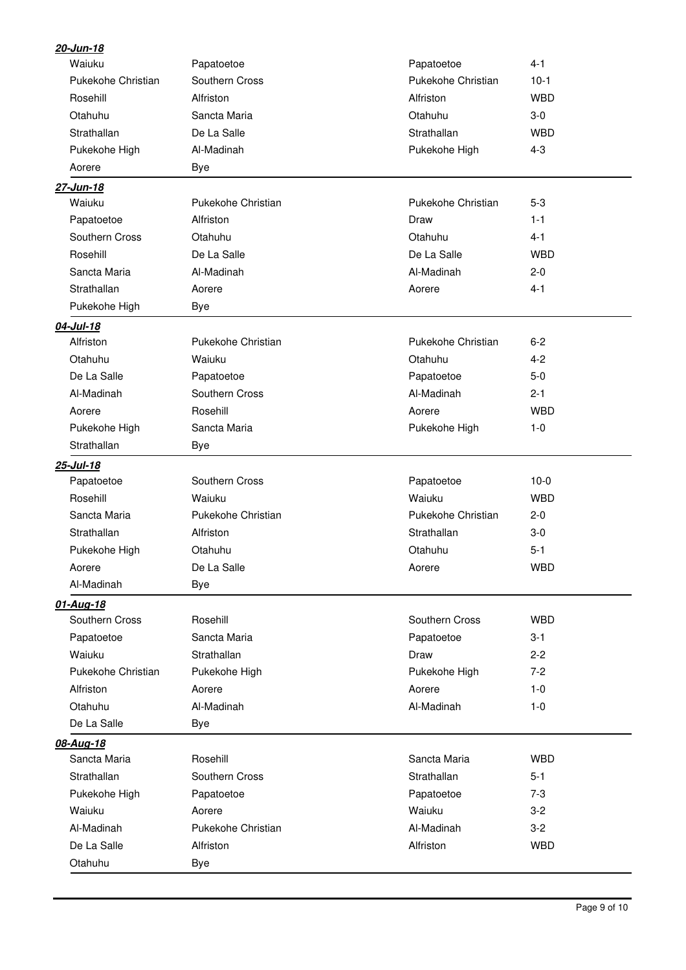| 20-Jun-18          |                    |                     |            |
|--------------------|--------------------|---------------------|------------|
| Waiuku             | Papatoetoe         | Papatoetoe          | $4 - 1$    |
| Pukekohe Christian | Southern Cross     | Pukekohe Christian  | $10-1$     |
| Rosehill           | Alfriston          | Alfriston           | <b>WBD</b> |
| Otahuhu            | Sancta Maria       | Otahuhu             | $3-0$      |
| Strathallan        | De La Salle        | Strathallan         | <b>WBD</b> |
| Pukekohe High      | Al-Madinah         | Pukekohe High       | $4 - 3$    |
| Aorere             | <b>Bye</b>         |                     |            |
| 27-Jun-18          |                    |                     |            |
| Waiuku             | Pukekohe Christian | Pukekohe Christian  | $5-3$      |
| Papatoetoe         | Alfriston          | Draw                | $1 - 1$    |
| Southern Cross     | Otahuhu            | Otahuhu             | $4 - 1$    |
| Rosehill           | De La Salle        | De La Salle         | <b>WBD</b> |
| Sancta Maria       | Al-Madinah         | Al-Madinah          | $2 - 0$    |
| Strathallan        | Aorere             | Aorere              | $4 - 1$    |
| Pukekohe High      | <b>Bye</b>         |                     |            |
| 04-Jul-18          |                    |                     |            |
| Alfriston          | Pukekohe Christian | Pukekohe Christian  | $6 - 2$    |
| Otahuhu            | Waiuku             | Otahuhu             | $4 - 2$    |
| De La Salle        | Papatoetoe         | Papatoetoe          | $5-0$      |
| Al-Madinah         | Southern Cross     | Al-Madinah          | $2 - 1$    |
| Aorere             | Rosehill           | Aorere              | <b>WBD</b> |
| Pukekohe High      | Sancta Maria       | Pukekohe High       | $1 - 0$    |
| Strathallan        | Bye                |                     |            |
| 25-Jul-18          |                    |                     |            |
| Papatoetoe         | Southern Cross     | Papatoetoe          | $10-0$     |
| Rosehill           | Waiuku             | Waiuku              | <b>WBD</b> |
| Sancta Maria       | Pukekohe Christian | Pukekohe Christian  | $2 - 0$    |
| Strathallan        | Alfriston          | Strathallan         | $3-0$      |
| Pukekohe High      | Otahuhu            | Otahuhu             | $5 - 1$    |
| Aorere             | De La Salle        | Aorere              | <b>WBD</b> |
| Al-Madinah         | <b>Bye</b>         |                     |            |
| 01-Aug-18          |                    |                     |            |
| Southern Cross     | Rosehill           | Southern Cross      | <b>WBD</b> |
| Papatoetoe         | Sancta Maria       | Papatoetoe          | $3 - 1$    |
| Waiuku             | Strathallan        | Draw                | $2 - 2$    |
| Pukekohe Christian | Pukekohe High      | Pukekohe High       | $7 - 2$    |
| Alfriston          | Aorere             | Aorere              | $1 - 0$    |
| Otahuhu            | Al-Madinah         | Al-Madinah          | $1 - 0$    |
| De La Salle        | Bye                |                     |            |
| 08-Aug-18          |                    |                     |            |
| Sancta Maria       | Rosehill           | Sancta Maria        | <b>WBD</b> |
| Strathallan        | Southern Cross     | Strathallan         | $5 - 1$    |
| Pukekohe High      | Papatoetoe         | Papatoetoe<br>$7-3$ |            |
| Waiuku             | Aorere             | Waiuku              | $3-2$      |
| Al-Madinah         | Pukekohe Christian | Al-Madinah          | $3-2$      |
| De La Salle        | Alfriston          | Alfriston           | <b>WBD</b> |
| Otahuhu            | <b>Bye</b>         |                     |            |
|                    |                    |                     |            |